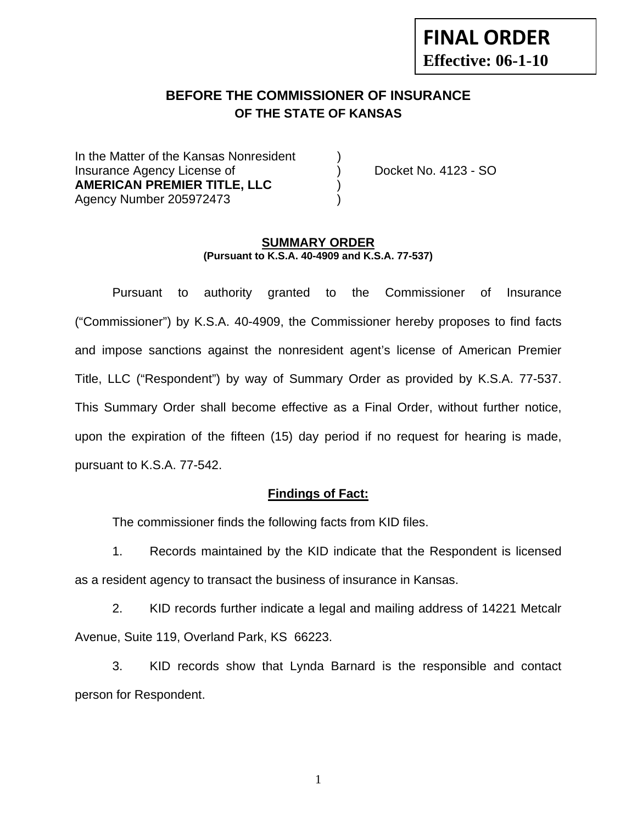# **FINAL ORDER Effective: 06-1-10**

## **BEFORE THE COMMISSIONER OF INSURANCE OF THE STATE OF KANSAS**

In the Matter of the Kansas Nonresident Insurance Agency License of ) Docket No. 4123 - SO **AMERICAN PREMIER TITLE, LLC** ) Agency Number 205972473 )

#### **SUMMARY ORDER (Pursuant to K.S.A. 40-4909 and K.S.A. 77-537)**

 Pursuant to authority granted to the Commissioner of Insurance ("Commissioner") by K.S.A. 40-4909, the Commissioner hereby proposes to find facts and impose sanctions against the nonresident agent's license of American Premier Title, LLC ("Respondent") by way of Summary Order as provided by K.S.A. 77-537. This Summary Order shall become effective as a Final Order, without further notice, upon the expiration of the fifteen (15) day period if no request for hearing is made, pursuant to K.S.A. 77-542.

#### **Findings of Fact:**

The commissioner finds the following facts from KID files.

 1. Records maintained by the KID indicate that the Respondent is licensed as a resident agency to transact the business of insurance in Kansas.

 2. KID records further indicate a legal and mailing address of 14221 Metcalr Avenue, Suite 119, Overland Park, KS 66223.

 3. KID records show that Lynda Barnard is the responsible and contact person for Respondent.

1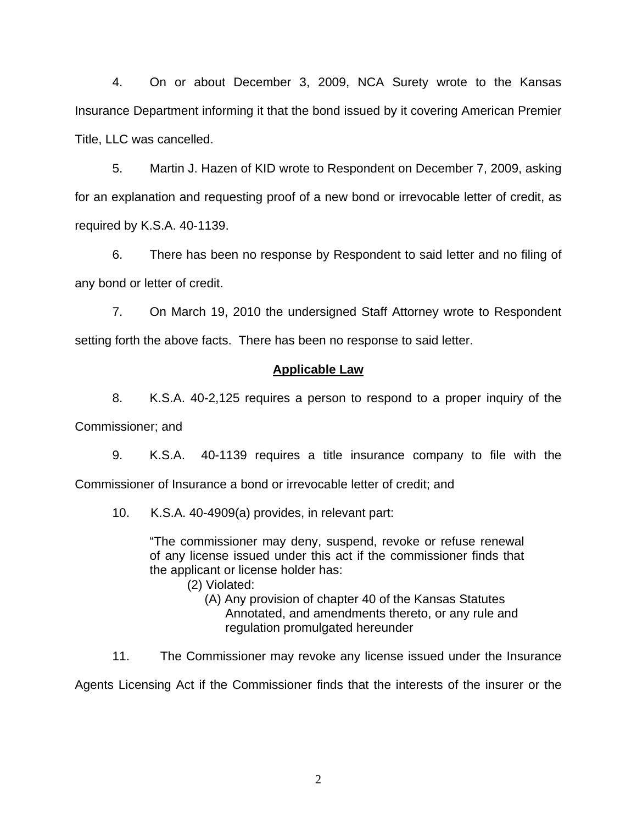4. On or about December 3, 2009, NCA Surety wrote to the Kansas Insurance Department informing it that the bond issued by it covering American Premier Title, LLC was cancelled.

 5. Martin J. Hazen of KID wrote to Respondent on December 7, 2009, asking for an explanation and requesting proof of a new bond or irrevocable letter of credit, as required by K.S.A. 40-1139.

 6. There has been no response by Respondent to said letter and no filing of any bond or letter of credit.

 7. On March 19, 2010 the undersigned Staff Attorney wrote to Respondent setting forth the above facts. There has been no response to said letter.

#### **Applicable Law**

 8. K.S.A. 40-2,125 requires a person to respond to a proper inquiry of the Commissioner; and

 9. K.S.A. 40-1139 requires a title insurance company to file with the Commissioner of Insurance a bond or irrevocable letter of credit; and

10. K.S.A. 40-4909(a) provides, in relevant part:

"The commissioner may deny, suspend, revoke or refuse renewal of any license issued under this act if the commissioner finds that the applicant or license holder has:

- (2) Violated:
	- (A) Any provision of chapter 40 of the Kansas Statutes Annotated, and amendments thereto, or any rule and regulation promulgated hereunder

11. The Commissioner may revoke any license issued under the Insurance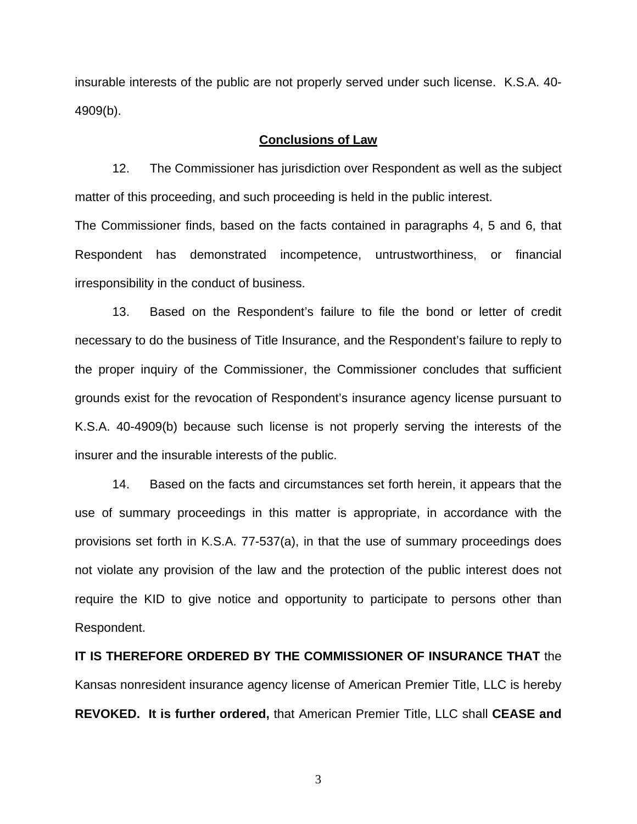insurable interests of the public are not properly served under such license. K.S.A. 40- 4909(b).

#### **Conclusions of Law**

 12. The Commissioner has jurisdiction over Respondent as well as the subject matter of this proceeding, and such proceeding is held in the public interest.

The Commissioner finds, based on the facts contained in paragraphs 4, 5 and 6, that Respondent has demonstrated incompetence, untrustworthiness, or financial irresponsibility in the conduct of business.

 13. Based on the Respondent's failure to file the bond or letter of credit necessary to do the business of Title Insurance, and the Respondent's failure to reply to the proper inquiry of the Commissioner, the Commissioner concludes that sufficient grounds exist for the revocation of Respondent's insurance agency license pursuant to K.S.A. 40-4909(b) because such license is not properly serving the interests of the insurer and the insurable interests of the public.

 14. Based on the facts and circumstances set forth herein, it appears that the use of summary proceedings in this matter is appropriate, in accordance with the provisions set forth in K.S.A. 77-537(a), in that the use of summary proceedings does not violate any provision of the law and the protection of the public interest does not require the KID to give notice and opportunity to participate to persons other than Respondent.

**IT IS THEREFORE ORDERED BY THE COMMISSIONER OF INSURANCE THAT** the Kansas nonresident insurance agency license of American Premier Title, LLC is hereby **REVOKED. It is further ordered,** that American Premier Title, LLC shall **CEASE and** 

3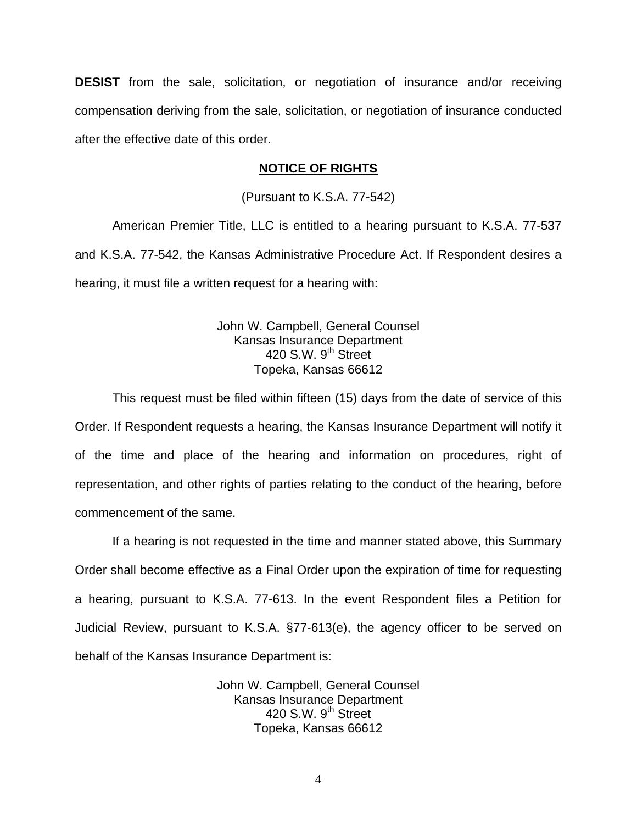**DESIST** from the sale, solicitation, or negotiation of insurance and/or receiving compensation deriving from the sale, solicitation, or negotiation of insurance conducted after the effective date of this order.

#### **NOTICE OF RIGHTS**

(Pursuant to K.S.A. 77-542)

American Premier Title, LLC is entitled to a hearing pursuant to K.S.A. 77-537 and K.S.A. 77-542, the Kansas Administrative Procedure Act. If Respondent desires a hearing, it must file a written request for a hearing with:

> John W. Campbell, General Counsel Kansas Insurance Department 420 S.W. 9<sup>th</sup> Street Topeka, Kansas 66612

This request must be filed within fifteen (15) days from the date of service of this Order. If Respondent requests a hearing, the Kansas Insurance Department will notify it of the time and place of the hearing and information on procedures, right of representation, and other rights of parties relating to the conduct of the hearing, before commencement of the same.

If a hearing is not requested in the time and manner stated above, this Summary Order shall become effective as a Final Order upon the expiration of time for requesting a hearing, pursuant to K.S.A. 77-613. In the event Respondent files a Petition for Judicial Review, pursuant to K.S.A. §77-613(e), the agency officer to be served on behalf of the Kansas Insurance Department is:

> John W. Campbell, General Counsel Kansas Insurance Department 420 S.W.  $9<sup>th</sup>$  Street Topeka, Kansas 66612